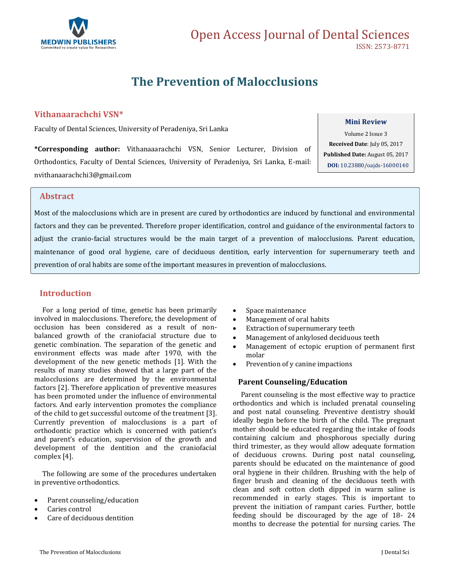

# **The Prevention of Malocclusions**

## **Vithanaarachchi VSN\***

Faculty of Dental Sciences, University of Peradeniya, Sri Lanka

**\*Corresponding author:** Vithanaaarachchi VSN, Senior Lecturer, Division of Orthodontics, Faculty of Dental Sciences, University of Peradeniya, Sri Lanka, E-mail: [nvithanaarachchi3@gmail.com](mailto:nvithanaarachchi3@gmail.com)

#### **Mini Review**

Volume 2 Issue 3 **Received Date**: July 05, 2017 **Published Date:** August 05, 2017 **DOI:** [10.23880/oajds-16000140](https://doi.org/10.23880/oajds-16000140)

## **Abstract**

Most of the malocclusions which are in present are cured by orthodontics are induced by functional and environmental factors and they can be prevented. Therefore proper identification, control and guidance of the environmental factors to adjust the cranio-facial structures would be the main target of a prevention of malocclusions. Parent education, maintenance of good oral hygiene, care of deciduous dentition, early intervention for supernumerary teeth and prevention of oral habits are some of the important measures in prevention of malocclusions.

## **Introduction**

 For a long period of time, genetic has been primarily involved in malocclusions. Therefore, the development of occlusion has been considered as a result of nonbalanced growth of the craniofacial structure due to genetic combination. The separation of the genetic and environment effects was made after 1970, with the development of the new genetic methods [1]. With the results of many studies showed that a large part of the malocclusions are determined by the environmental factors [2]. Therefore application of preventive measures has been promoted under the influence of environmental factors. And early intervention promotes the compliance of the child to get successful outcome of the treatment [3]. Currently prevention of malocclusions is a part of orthodontic practice which is concerned with patient's and parent's education, supervision of the growth and development of the dentition and the craniofacial complex [4].

 The following are some of the procedures undertaken in preventive orthodontics.

- Parent counseling/education
- Caries control
- Care of deciduous dentition
- Space maintenance
- Management of oral habits
- Extraction of supernumerary teeth
- Management of ankylosed deciduous teeth
- Management of ectopic eruption of permanent first molar
- Prevention of y canine impactions

#### **Parent Counseling/Education**

 Parent counseling is the most effective way to practice orthodontics and which is included prenatal counseling and post natal counseling. Preventive dentistry should ideally begin before the birth of the child. The pregnant mother should be educated regarding the intake of foods containing calcium and phosphorous specially during third trimester, as they would allow adequate formation of deciduous crowns. During post natal counseling, parents should be educated on the maintenance of good oral hygiene in their children. Brushing with the help of finger brush and cleaning of the deciduous teeth with clean and soft cotton cloth dipped in warm saline is recommended in early stages. This is important to prevent the initiation of rampant caries. Further, bottle feeding should be discouraged by the age of 18- 24 months to decrease the potential for nursing caries. The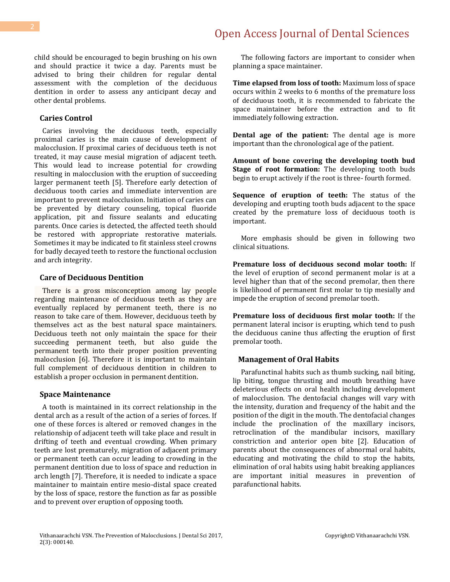child should be encouraged to begin brushing on his own and should practice it twice a day. Parents must be advised to bring their children for regular dental assessment with the completion of the deciduous dentition in order to assess any anticipant decay and other dental problems.

#### **Caries Control**

 Caries involving the deciduous teeth, especially proximal caries is the main cause of development of malocclusion. If proximal caries of deciduous teeth is not treated, it may cause mesial migration of adjacent teeth. This would lead to increase potential for crowding resulting in malocclusion with the eruption of succeeding larger permanent teeth [5]. Therefore early detection of deciduous tooth caries and immediate intervention are important to prevent malocclusion. Initiation of caries can be prevented by dietary counseling, topical fluoride application, pit and fissure sealants and educating parents. Once caries is detected, the affected teeth should be restored with appropriate restorative materials. Sometimes it may be indicated to fit stainless steel crowns for badly decayed teeth to restore the functional occlusion and arch integrity.

#### **Care of Deciduous Dentition**

 There is a gross misconception among lay people regarding maintenance of deciduous teeth as they are eventually replaced by permanent teeth, there is no reason to take care of them. However, deciduous teeth by themselves act as the best natural space maintainers. Deciduous teeth not only maintain the space for their succeeding permanent teeth, but also guide the permanent teeth into their proper position preventing malocclusion [6]. Therefore it is important to maintain full complement of deciduous dentition in children to establish a proper occlusion in permanent dentition.

#### **Space Maintenance**

 A tooth is maintained in its correct relationship in the dental arch as a result of the action of a series of forces. If one of these forces is altered or removed changes in the relationship of adjacent teeth will take place and result in drifting of teeth and eventual crowding. When primary teeth are lost prematurely, migration of adjacent primary or permanent teeth can occur leading to crowding in the permanent dentition due to loss of space and reduction in arch length [7]. Therefore, it is needed to indicate a space maintainer to maintain entire mesio-distal space created by the loss of space, restore the function as far as possible and to prevent over eruption of opposing tooth.

 The following factors are important to consider when planning a space maintainer.

**Time elapsed from loss of tooth:** Maximum loss of space occurs within 2 weeks to 6 months of the premature loss of deciduous tooth, it is recommended to fabricate the space maintainer before the extraction and to fit immediately following extraction.

**Dental age of the patient:** The dental age is more important than the chronological age of the patient.

**Amount of bone covering the developing tooth bud Stage of root formation:** The developing tooth buds begin to erupt actively if the root is three- fourth formed.

**Sequence of eruption of teeth:** The status of the developing and erupting tooth buds adjacent to the space created by the premature loss of deciduous tooth is important.

 More emphasis should be given in following two clinical situations.

**Premature loss of deciduous second molar tooth:** If the level of eruption of second permanent molar is at a level higher than that of the second premolar, then there is likelihood of permanent first molar to tip mesially and impede the eruption of second premolar tooth.

**Premature loss of deciduous first molar tooth:** If the permanent lateral incisor is erupting, which tend to push the deciduous canine thus affecting the eruption of first premolar tooth.

#### **Management of Oral Habits**

 Parafunctinal habits such as thumb sucking, nail biting, lip biting, tongue thrusting and mouth breathing have deleterious effects on oral health including development of malocclusion. The dentofacial changes will vary with the intensity, duration and frequency of the habit and the position of the digit in the mouth. The dentofacial changes include the proclination of the maxillary incisors, retroclination of the mandibular incisors, maxillary constriction and anterior open bite [2]. Education of parents about the consequences of abnormal oral habits, educating and motivating the child to stop the habits, elimination of oral habits using habit breaking appliances are important initial measures in prevention of parafunctional habits.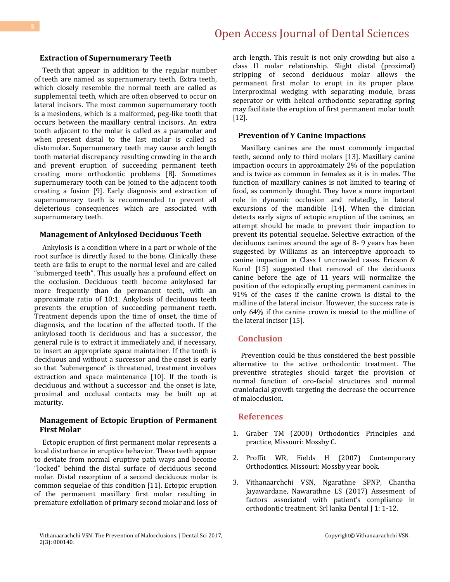#### **Extraction of Supernumerary Teeth**

 Teeth that appear in addition to the regular number of teeth are named as supernumerary teeth. Extra teeth, which closely resemble the normal teeth are called as supplemental teeth, which are often observed to occur on lateral incisors. The most common supernumerary tooth is a mesiodens, which is a malformed, peg-like tooth that occurs between the maxillary central incisors. An extra tooth adjacent to the molar is called as a paramolar and when present distal to the last molar is called as distomolar. Supernumerary teeth may cause arch length tooth material discrepancy resulting crowding in the arch and prevent eruption of succeeding permanent teeth creating more orthodontic problems [8]. Sometimes supernumerary tooth can be joined to the adjacent tooth creating a fusion [9]. Early diagnosis and extraction of supernumerary teeth is recommended to prevent all deleterious consequences which are associated with supernumerary teeth.

#### **Management of Ankylosed Deciduous Teeth**

 Ankylosis is a condition where in a part or whole of the root surface is directly fused to the bone. Clinically these teeth are fails to erupt to the normal level and are called "submerged teeth". This usually has a profound effect on the occlusion. Deciduous teeth become ankylosed far more frequently than do permanent teeth, with an approximate ratio of 10:1. Ankylosis of deciduous teeth prevents the eruption of succeeding permanent teeth. Treatment depends upon the time of onset, the time of diagnosis, and the location of the affected tooth. If the ankylosed tooth is deciduous and has a successor, the general rule is to extract it immediately and, if necessary, to insert an appropriate space maintainer. If the tooth is deciduous and without a successor and the onset is early so that "submergence" is threatened, treatment involves extraction and space maintenance [10]. If the tooth is deciduous and without a successor and the onset is late, proximal and occlusal contacts may be built up at maturity.

## **Management of Ectopic Eruption of Permanent First Molar**

 Ectopic eruption of first permanent molar represents a local disturbance in eruptive behavior. These teeth appear to deviate from normal eruptive path ways and become "locked" behind the distal surface of deciduous second molar. Distal resorption of a second deciduous molar is common sequelae of this condition [11]. Ectopic eruption of the permanent maxillary first molar resulting in premature exfoliation of primary second molar and loss of arch length. This result is not only crowding but also a class II molar relationship. Slight distal (proximal) stripping of second deciduous molar allows the permanent first molar to erupt in its proper place. Interproximal wedging with separating module, brass seperator or with helical orthodontic separating spring may facilitate the eruption of first permanent molar tooth [12].

#### **Prevention of Y Canine Impactions**

 Maxillary canines are the most commonly impacted teeth, second only to third molars [13]. Maxillary canine impaction occurs in approximately 2% of the population and is twice as common in females as it is in males. The function of maxillary canines is not limited to tearing of food, as commonly thought. They have a more important role in dynamic occlusion and relatedly, in lateral excursions of the mandible [14]. When the clinician detects early signs of ectopic eruption of the canines, an attempt should be made to prevent their impaction to prevent its potential sequelae. Selective extraction of the deciduous canines around the age of 8- 9 years has been suggested by Williams as an interceptive approach to canine impaction in Class I uncrowded cases. Ericson & Kurol [15] suggested that removal of the deciduous canine before the age of 11 years will normalize the position of the ectopically erupting permanent canines in 91% of the cases if the canine crown is distal to the midline of the lateral incisor. However, the success rate is only 64% if the canine crown is mesial to the midline of the lateral incisor [15].

#### **Conclusion**

 Prevention could be thus considered the best possible alternative to the active orthodontic treatment. The preventive strategies should target the provision of normal function of oro-facial structures and normal craniofacial growth targeting the decrease the occurrence of malocclusion.

### **References**

- 1. Graber TM (2000) Orthodontics Principles and practice, Missouri: Mossby C.
- 2. Proffit WR, Fields H (2007) Contemporary Orthodontics. Missouri: Mossby year book.
- 3. Vithanaarchchi VSN, Ngarathne SPNP, Chantha Jayawardane, Nawarathne LS (2017) Assesment of factors associated with patient's compliance in orthodontic treatment. Srl lanka Dental J 1: 1-12.